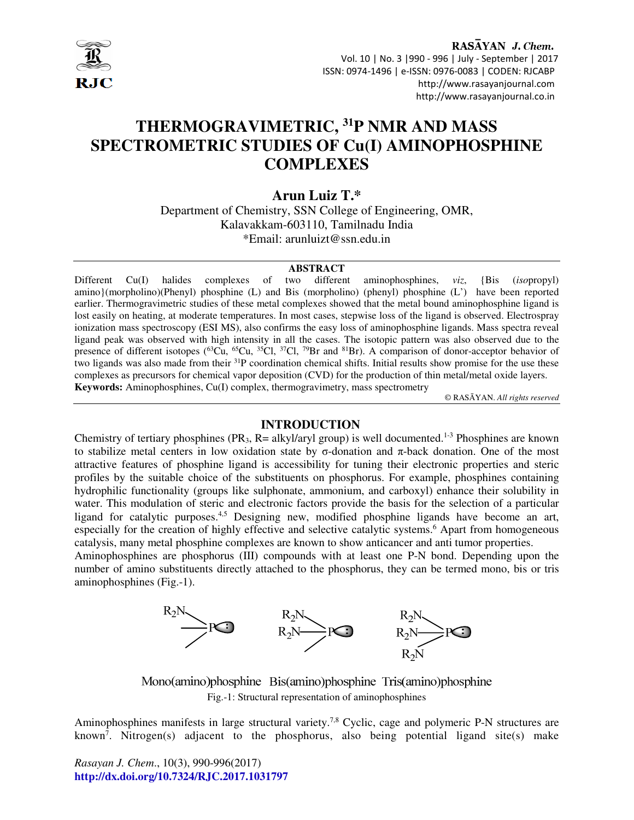

RASAYAN J. Chem. Vol. 10 | No. 3 |990 - 996 | July - September | 2017 ISSN: 0974-1496 | e-ISSN: 0976-0083 | CODEN: RJCABP http://www.rasayanjournal.com http://www.rasayanjournal.co.in

# **THERMOGRAVIMETRIC, <sup>31</sup>P NMR AND MASS SPECTROMETRIC STUDIES OF Cu(I) AMINOPHOSPHINE COMPLEXES**

# **Arun Luiz T.\***

Department of Chemistry, SSN College of Engineering, OMR, Kalavakkam-603110, Tamilnadu India \*Email: arunluizt@ssn.edu.in

#### **ABSTRACT**

Different Cu(I) halides complexes of two different aminophosphines, *viz*, {Bis (*iso*propyl) amino}(morpholino)(Phenyl) phosphine (L) and Bis (morpholino) (phenyl) phosphine (L') have been reported earlier. Thermogravimetric studies of these metal complexes showed that the metal bound aminophosphine ligand is lost easily on heating, at moderate temperatures. In most cases, stepwise loss of the ligand is observed. Electrospray ionization mass spectroscopy (ESI MS), also confirms the easy loss of aminophosphine ligands. Mass spectra reveal ligand peak was observed with high intensity in all the cases. The isotopic pattern was also observed due to the presence of different isotopes ( ${}^{63}Cu$ ,  ${}^{65}Cu$ ,  ${}^{35}Cl$ ,  ${}^{37}Cl$ ,  ${}^{79}Br$  and  ${}^{81}Br$ ). A comparison of donor-acceptor behavior of two ligands was also made from their <sup>31</sup>P coordination chemical shifts. Initial results show promise for the use these complexes as precursors for chemical vapor deposition (CVD) for the production of thin metal/metal oxide layers. **Keywords:** Aminophosphines, Cu(I) complex, thermogravimetry, mass spectrometry

© RASĀYAN. *All rights reserved*

#### **INTRODUCTION**

Chemistry of tertiary phosphines (PR<sub>3</sub>, R= alkyl/aryl group) is well documented.<sup>1-3</sup> Phosphines are known to stabilize metal centers in low oxidation state by σ-donation and π-back donation. One of the most attractive features of phosphine ligand is accessibility for tuning their electronic properties and steric profiles by the suitable choice of the substituents on phosphorus. For example, phosphines containing hydrophilic functionality (groups like sulphonate, ammonium, and carboxyl) enhance their solubility in water. This modulation of steric and electronic factors provide the basis for the selection of a particular ligand for catalytic purposes.4,5 Designing new, modified phosphine ligands have become an art, especially for the creation of highly effective and selective catalytic systems.<sup>6</sup> Apart from homogeneous catalysis, many metal phosphine complexes are known to show anticancer and anti tumor properties.

Aminophosphines are phosphorus (III) compounds with at least one P-N bond. Depending upon the number of amino substituents directly attached to the phosphorus, they can be termed mono, bis or tris aminophosphines (Fig.-1).



Mono(amino)phosphine Bis(amino)phosphine Tris(amino)phosphine Fig.-1: Structural representation of aminophosphines

Aminophosphines manifests in large structural variety.<sup>7,8</sup> Cyclic, cage and polymeric P-N structures are known<sup>7</sup>. Nitrogen(s) adjacent to the phosphorus, also being potential ligand site(s) make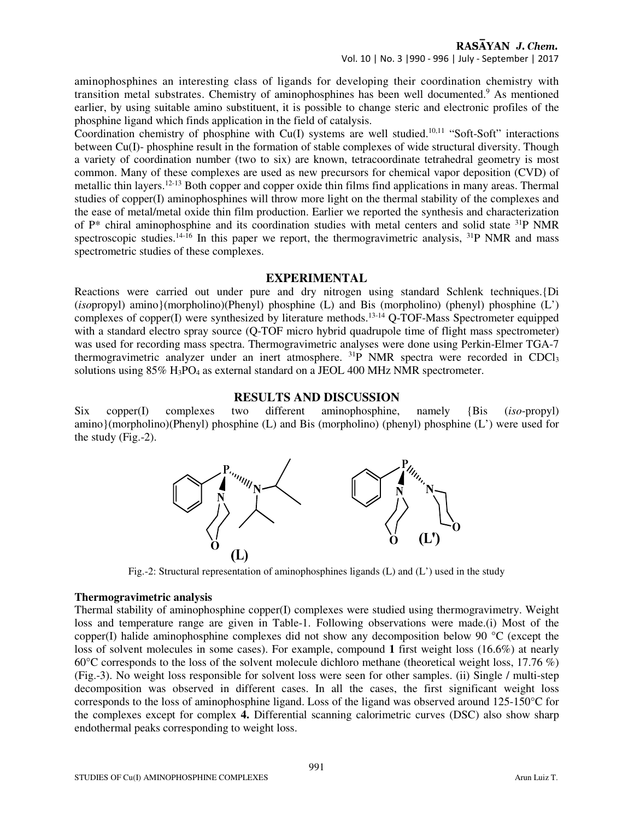Vol. 10 | No. 3 |990 - 996 | July - September | 2017

aminophosphines an interesting class of ligands for developing their coordination chemistry with transition metal substrates. Chemistry of aminophosphines has been well documented.<sup>9</sup> As mentioned earlier, by using suitable amino substituent, it is possible to change steric and electronic profiles of the phosphine ligand which finds application in the field of catalysis.

Coordination chemistry of phosphine with Cu(I) systems are well studied.<sup>10,11</sup> "Soft-Soft" interactions between Cu(I)- phosphine result in the formation of stable complexes of wide structural diversity. Though a variety of coordination number (two to six) are known, tetracoordinate tetrahedral geometry is most common. Many of these complexes are used as new precursors for chemical vapor deposition (CVD) of metallic thin layers.12-13 Both copper and copper oxide thin films find applications in many areas. Thermal studies of copper(I) aminophosphines will throw more light on the thermal stability of the complexes and the ease of metal/metal oxide thin film production. Earlier we reported the synthesis and characterization of P\* chiral aminophosphine and its coordination studies with metal centers and solid state <sup>31</sup>P NMR spectroscopic studies.<sup>14-16</sup> In this paper we report, the thermogravimetric analysis, <sup>31</sup>P NMR and mass spectrometric studies of these complexes.

#### **EXPERIMENTAL**

Reactions were carried out under pure and dry nitrogen using standard Schlenk techniques.{Di (*iso*propyl) amino}(morpholino)(Phenyl) phosphine (L) and Bis (morpholino) (phenyl) phosphine (L') complexes of copper(I) were synthesized by literature methods.<sup>13-14</sup> Q-TOF-Mass Spectrometer equipped with a standard electro spray source (Q-TOF micro hybrid quadrupole time of flight mass spectrometer) was used for recording mass spectra. Thermogravimetric analyses were done using Perkin-Elmer TGA-7 thermogravimetric analyzer under an inert atmosphere. <sup>31</sup>P NMR spectra were recorded in CDCl<sub>3</sub> solutions using 85% H3PO4 as external standard on a JEOL 400 MHz NMR spectrometer.

#### **RESULTS AND DISCUSSION**

Six copper(I) complexes two different aminophosphine, namely {Bis (*iso*-propyl) amino}(morpholino)(Phenyl) phosphine (L) and Bis (morpholino) (phenyl) phosphine (L') were used for the study (Fig.-2).



Fig.-2: Structural representation of aminophosphines ligands (L) and (L') used in the study

#### **Thermogravimetric analysis**

Thermal stability of aminophosphine copper(I) complexes were studied using thermogravimetry. Weight loss and temperature range are given in Table-1. Following observations were made.(i) Most of the copper(I) halide aminophosphine complexes did not show any decomposition below 90 **°**C (except the loss of solvent molecules in some cases). For example, compound **1** first weight loss (16.6%) at nearly 60**°**C corresponds to the loss of the solvent molecule dichloro methane (theoretical weight loss, 17.76 %) (Fig.-3). No weight loss responsible for solvent loss were seen for other samples. (ii) Single / multi-step decomposition was observed in different cases. In all the cases, the first significant weight loss corresponds to the loss of aminophosphine ligand. Loss of the ligand was observed around 125-150°C for the complexes except for complex **4.** Differential scanning calorimetric curves (DSC) also show sharp endothermal peaks corresponding to weight loss.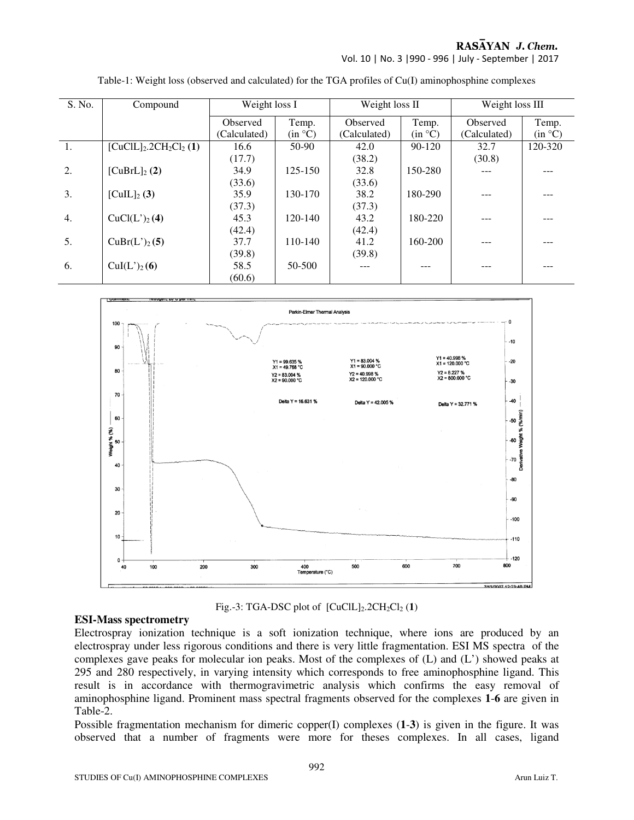Vol. 10 | No. 3 |990 - 996 | July - September | 2017

| S. No.           | Compound                  | Weight loss I |             | Weight loss II |         | Weight loss III |         |
|------------------|---------------------------|---------------|-------------|----------------|---------|-----------------|---------|
|                  |                           | Observed      | Temp.       | Observed       | Temp.   | Observed        | Temp.   |
|                  |                           | (Calculated)  | (in °C)     | (Calculated)   | (in °C) | (Calculated)    | (in °C) |
| 1.               | $[CuClL]_2.2CH_2Cl_2(1)$  | 16.6          | $50-90$     | 42.0           | 90-120  | 32.7            | 120-320 |
|                  |                           | (17.7)        |             | (38.2)         |         | (30.8)          |         |
| $\overline{2}$ . | $[CuBrL]_2(2)$            | 34.9          | 125-150     | 32.8           | 150-280 | ---             |         |
|                  |                           | (33.6)        |             | (33.6)         |         |                 |         |
| 3.               | $[CuIL]_2(3)$             | 35.9          | 130-170     | 38.2           | 180-290 |                 |         |
|                  |                           | (37.3)        |             | (37.3)         |         |                 |         |
| $\overline{4}$ . | CuCl(L') <sub>2</sub> (4) | 45.3          | $120 - 140$ | 43.2           | 180-220 | ---             |         |
|                  |                           | (42.4)        |             | (42.4)         |         |                 |         |
| 5.               | $CuBr(L')_{2}(5)$         | 37.7          | 110-140     | 41.2           | 160-200 | ---             |         |
|                  |                           | (39.8)        |             | (39.8)         |         |                 |         |
| 6.               | $Cul(L')_{2}(6)$          | 58.5          | 50-500      | ---            |         |                 |         |
|                  |                           | (60.6)        |             |                |         |                 |         |

Table-1: Weight loss (observed and calculated) for the TGA profiles of Cu(I) aminophosphine complexes



Fig.-3: TGA-DSC plot of  $[CuClL]_2.2CH_2Cl_2(1)$ 

#### **ESI-Mass spectrometry**

Electrospray ionization technique is a soft ionization technique, where ions are produced by an electrospray under less rigorous conditions and there is very little fragmentation. ESI MS spectra of the complexes gave peaks for molecular ion peaks. Most of the complexes of (L) and (L') showed peaks at 295 and 280 respectively, in varying intensity which corresponds to free aminophosphine ligand. This result is in accordance with thermogravimetric analysis which confirms the easy removal of aminophosphine ligand. Prominent mass spectral fragments observed for the complexes **1**-**6** are given in Table-2.

Possible fragmentation mechanism for dimeric copper(I) complexes (**1**-**3**) is given in the figure. It was observed that a number of fragments were more for theses complexes. In all cases, ligand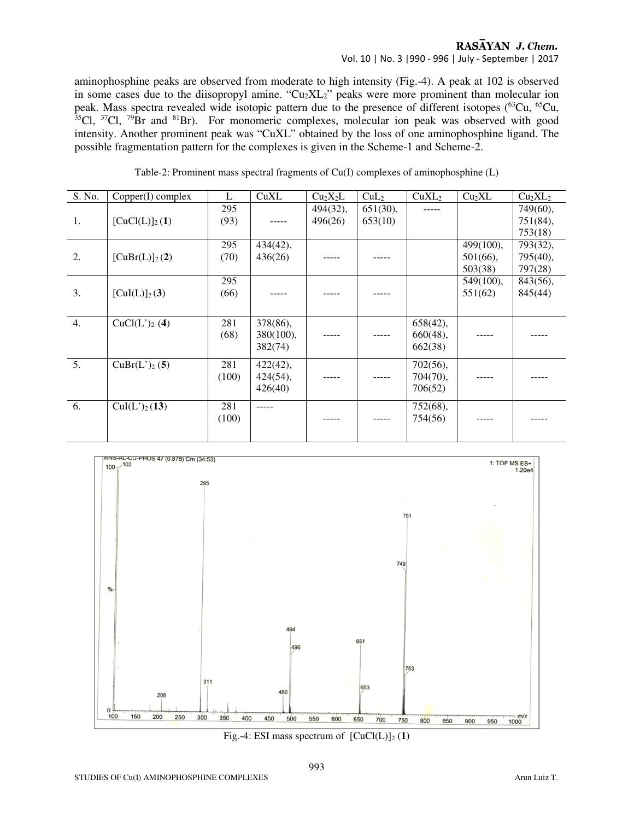#### RASAYAN J. Chem. Vol. 10 | No. 3 |990 - 996 | July - September | 2017

aminophosphine peaks are observed from moderate to high intensity (Fig.-4). A peak at 102 is observed in some cases due to the diisopropyl amine. " $Cu<sub>2</sub>XL<sub>2</sub>$ " peaks were more prominent than molecular ion peak. Mass spectra revealed wide isotopic pattern due to the presence of different isotopes (<sup>63</sup>Cu, <sup>65</sup>Cu,  $35$ Cl,  $37$ Cl,  $79$ Br and  $81$ Br). For monomeric complexes, molecular ion peak was observed with good intensity. Another prominent peak was "CuXL" obtained by the loss of one aminophosphine ligand. The possible fragmentation pattern for the complexes is given in the Scheme-1 and Scheme-2.

Table-2: Prominent mass spectral fragments of Cu(I) complexes of aminophosphine (L)

| S. No. | Copper(I) complex  | L     | CuXL        | Cu <sub>2</sub> X <sub>2</sub> L | CuL <sub>2</sub> | CuXL <sub>2</sub> | Cu <sub>2</sub> XL | Cu <sub>2</sub> XL <sub>2</sub> |
|--------|--------------------|-------|-------------|----------------------------------|------------------|-------------------|--------------------|---------------------------------|
|        |                    | 295   |             | 494(32),                         | $651(30)$ ,      |                   |                    | 749(60),                        |
| 1.     | $[CuCl(L)]_2(1)$   | (93)  |             | 496(26)                          | 653(10)          |                   |                    | 751(84),                        |
|        |                    |       |             |                                  |                  |                   |                    | 753(18)                         |
|        |                    | 295   | $434(42)$ , |                                  |                  |                   | 499(100),          | 793(32),                        |
| 2.     | $[CuBr(L)]_2(2)$   | (70)  | 436(26)     |                                  |                  |                   | $501(66)$ ,        | 795(40),                        |
|        |                    |       |             |                                  |                  |                   | 503(38)            | 797(28)                         |
|        |                    | 295   |             |                                  |                  |                   | $549(100)$ ,       | 843(56),                        |
| 3.     | $[CuI(L)]_2(3)$    | (66)  |             |                                  |                  |                   | 551(62)            | 845(44)                         |
|        |                    |       |             |                                  |                  |                   |                    |                                 |
| 4.     | $CuCl(L')_{2}$ (4) | 281   | 378(86),    |                                  |                  | 658(42),          |                    |                                 |
|        |                    | (68)  | 380(100),   |                                  |                  | $660(48)$ ,       |                    |                                 |
|        |                    |       | 382(74)     |                                  |                  | 662(38)           |                    |                                 |
| 5.     | $CuBr(L')_{2}(5)$  | 281   | 422(42),    |                                  |                  | 702(56),          |                    |                                 |
|        |                    | (100) | 424(54),    |                                  |                  | 704(70),          |                    |                                 |
|        |                    |       | 426(40)     |                                  |                  | 706(52)           |                    |                                 |
| 6.     | $Cul(L')_{2}(13)$  |       |             |                                  |                  |                   |                    |                                 |
|        |                    | 281   |             |                                  |                  | 752(68),          |                    |                                 |
|        |                    | (100) |             |                                  |                  | 754(56)           |                    |                                 |
|        |                    |       |             |                                  |                  |                   |                    |                                 |



Fig.-4: ESI mass spectrum of  $[CuCl(L)]_2(1)$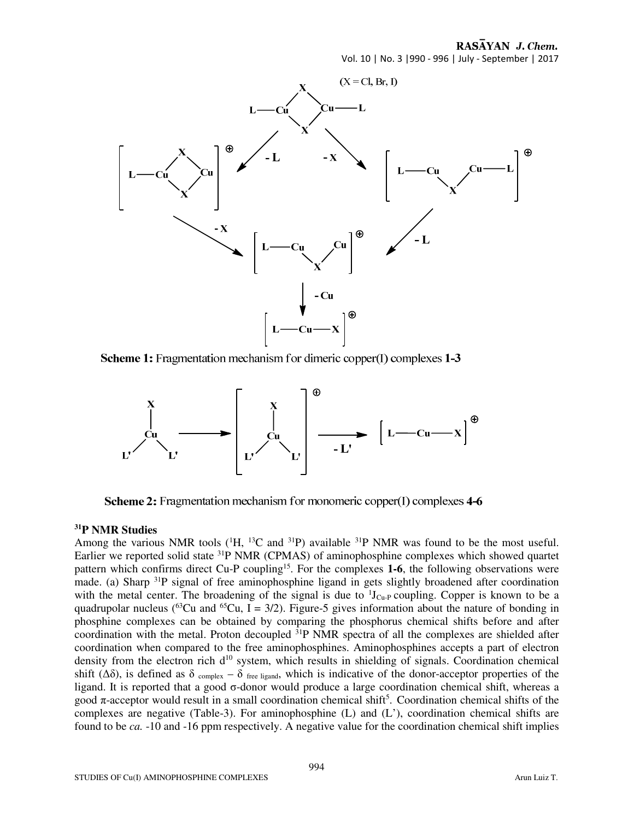Vol. 10 | No. 3 |990 - 996 | July - September | 2017



**Scheme 1:** Fragmentation mechanism for dimeric copper(I) complexes 1-3



Scheme 2: Fragmentation mechanism for monomeric copper(I) complexes 4-6

### **<sup>31</sup>P NMR Studies**

Among the various NMR tools  $(^1H, ^{13}C$  and  $^{31}P)$  available  $^{31}P$  NMR was found to be the most useful. Earlier we reported solid state <sup>31</sup>P NMR (CPMAS) of aminophosphine complexes which showed quartet pattern which confirms direct Cu-P coupling<sup>15</sup>. For the complexes 1-6, the following observations were made. (a) Sharp <sup>31</sup>P signal of free aminophosphine ligand in gets slightly broadened after coordination with the metal center. The broadening of the signal is due to  ${}^{1}J_{Cu-P}$  coupling. Copper is known to be a quadrupolar nucleus (<sup>63</sup>Cu and <sup>65</sup>Cu, I = 3/2). Figure-5 gives information about the nature of bonding in phosphine complexes can be obtained by comparing the phosphorus chemical shifts before and after coordination with the metal. Proton decoupled  ${}^{31}P$  NMR spectra of all the complexes are shielded after coordination when compared to the free aminophosphines. Aminophosphines accepts a part of electron density from the electron rich  $d^{10}$  system, which results in shielding of signals. Coordination chemical shift ( $\Delta\delta$ ), is defined as  $\delta$  complex –  $\delta$  free ligand, which is indicative of the donor-acceptor properties of the ligand. It is reported that a good  $\sigma$ -donor would produce a large coordination chemical shift, whereas a good  $\pi$ -acceptor would result in a small coordination chemical shift<sup>5</sup>. Coordination chemical shifts of the complexes are negative (Table-3). For aminophosphine (L) and (L'), coordination chemical shifts are found to be *ca.* -10 and -16 ppm respectively. A negative value for the coordination chemical shift implies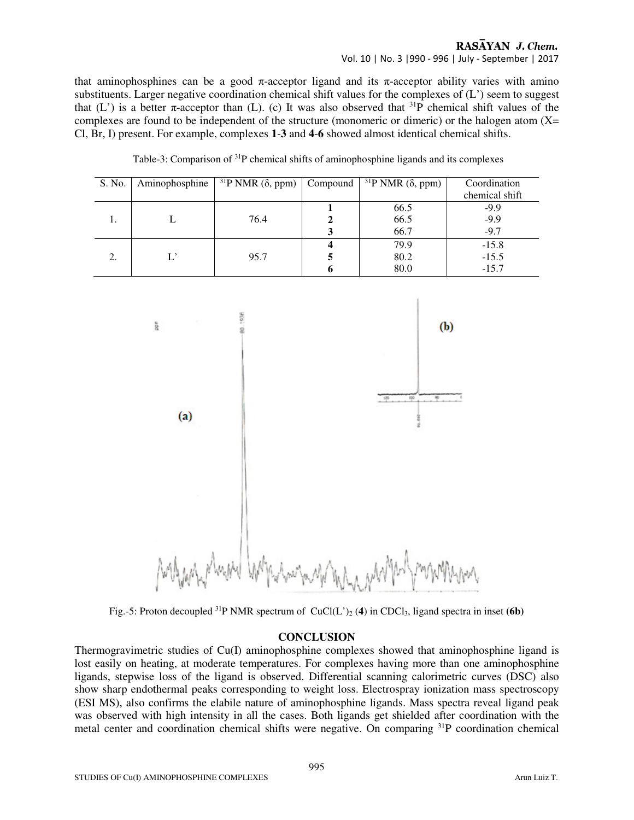Vol. 10 | No. 3 |990 - 996 | July - September | 2017

that aminophosphines can be a good  $\pi$ -acceptor ligand and its  $\pi$ -acceptor ability varies with amino substituents. Larger negative coordination chemical shift values for the complexes of (L') seem to suggest that (L') is a better  $\pi$ -acceptor than (L). (c) It was also observed that <sup>31</sup>P chemical shift values of the complexes are found to be independent of the structure (monomeric or dimeric) or the halogen atom (X= Cl, Br, I) present. For example, complexes **1**-**3** and **4**-**6** showed almost identical chemical shifts.

| S. No. | Aminophosphine | <sup>31</sup> P NMR $(\delta,$ ppm) Compound | $31P$ NMR ( $\delta$ , ppm) | Coordination   |
|--------|----------------|----------------------------------------------|-----------------------------|----------------|
|        |                |                                              |                             | chemical shift |
|        |                |                                              | 66.5                        | $-9.9$         |
| 1.     |                | 76.4                                         | 66.5                        | $-9.9$         |
|        |                |                                              | 66.7                        | $-9.7$         |
|        |                |                                              | 79.9                        | $-15.8$        |
| 2.     |                | 95.7                                         | 80.2                        | $-15.5$        |
|        |                |                                              | 80.0                        | $-15.7$        |

Table-3: Comparison of <sup>31</sup>P chemical shifts of aminophosphine ligands and its complexes



Fig.-5: Proton decoupled <sup>31</sup>P NMR spectrum of  $CuCl(L')_2$  (4) in CDCl<sub>3</sub>, ligand spectra in inset (6b)

#### **CONCLUSION**

Thermogravimetric studies of Cu(I) aminophosphine complexes showed that aminophosphine ligand is lost easily on heating, at moderate temperatures. For complexes having more than one aminophosphine ligands, stepwise loss of the ligand is observed. Differential scanning calorimetric curves (DSC) also show sharp endothermal peaks corresponding to weight loss. Electrospray ionization mass spectroscopy (ESI MS), also confirms the elabile nature of aminophosphine ligands. Mass spectra reveal ligand peak was observed with high intensity in all the cases. Both ligands get shielded after coordination with the metal center and coordination chemical shifts were negative. On comparing 31P coordination chemical